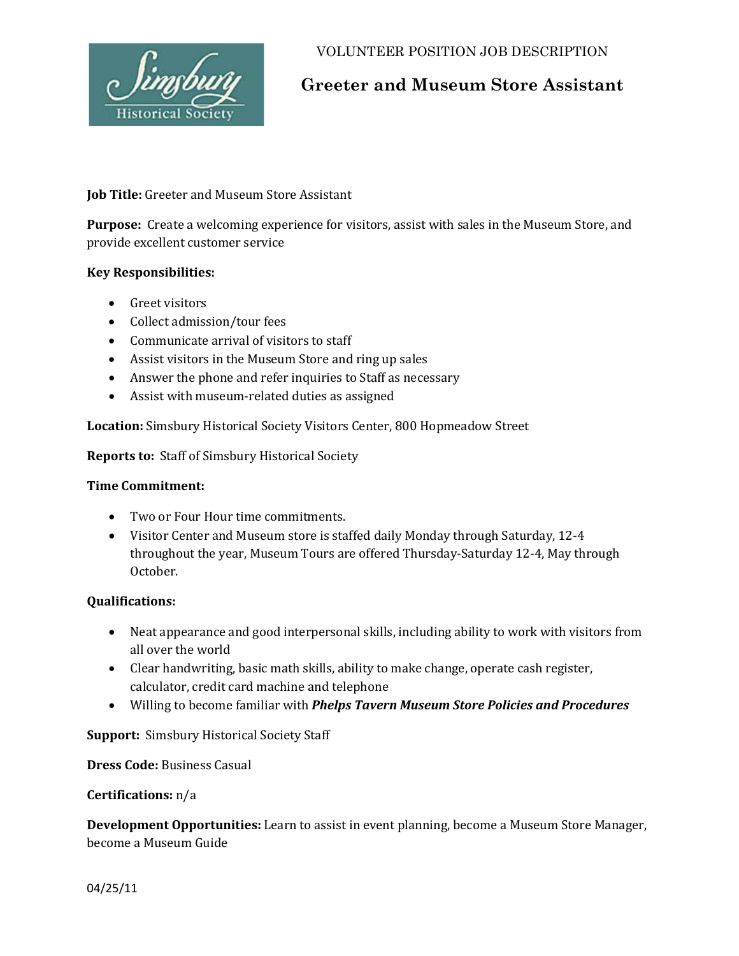

# VOLUNTEER POSITION JOB DESCRIPTION

# **Greeter and Museum Store Assistant**

## **Job Title:** Greeter and Museum Store Assistant

**Purpose:** Create a welcoming experience for visitors, assist with sales in the Museum Store, and provide excellent customer service

## **Key Responsibilities:**

- Greet visitors
- Collect admission/tour fees
- Communicate arrival of visitors to staff
- Assist visitors in the Museum Store and ring up sales
- Answer the phone and refer inquiries to Staff as necessary
- Assist with museum-related duties as assigned

**Location:** Simsbury Historical Society Visitors Center, 800 Hopmeadow Street

**Reports to:** Staff of Simsbury Historical Society

## **Time Commitment:**

- Two or Four Hour time commitments.
- Visitor Center and Museum store is staffed daily Monday through Saturday, 12-4 throughout the year, Museum Tours are offered Thursday-Saturday 12-4, May through October.

#### **Qualifications:**

- Neat appearance and good interpersonal skills, including ability to work with visitors from all over the world
- Clear handwriting, basic math skills, ability to make change, operate cash register, calculator, credit card machine and telephone
- Willing to become familiar with *Phelps Tavern Museum Store Policies and Procedures*

**Support:** Simsbury Historical Society Staff

**Dress Code:** Business Casual

#### **Certifications:** n/a

**Development Opportunities:** Learn to assist in event planning, become a Museum Store Manager, become a Museum Guide